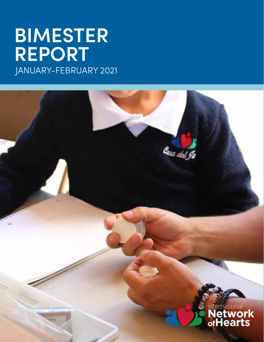### JANUARY-FEBRUARY 2021 **BIMESTER REPORT**

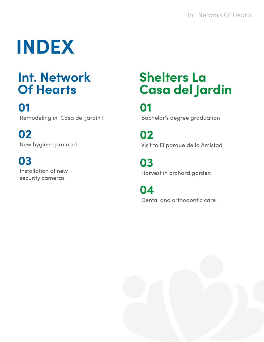# **INDEX**

#### **Int. Network Of Hearts**

**01**

Remodeling in Casa del Jardín I

**02** New hygiene protocol

**03** Installation of new security cameras

#### **Shelters La Casa del Jardin**

**01** Bachelor's degree graduation

**02** Visit to El parque de la Amistad

**03** Harvest in orchard garden

**04** Dental and orthodontic care

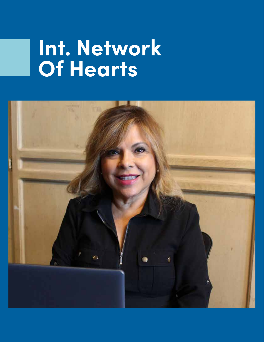## **Int. Network Of Hearts**

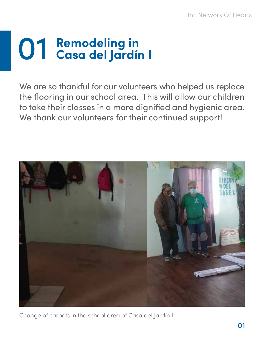### 01 **Remodeling in Casa del Jardín I**

We are so thankful for our volunteers who helped us replace the flooring in our school area. This will allow our children to take their classes in a more dignified and hygienic area. We thank our volunteers for their continued support!



Change of carpets in the school area of Casa del Jardín I.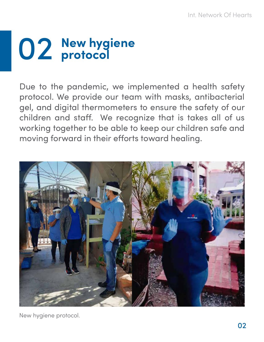### 02 **New hygiene protocol**

Due to the pandemic, we implemented a health safety protocol. We provide our team with masks, antibacterial gel, and digital thermometers to ensure the safety of our children and staff. We recognize that is takes all of us working together to be able to keep our children safe and moving forward in their efforts toward healing.



New hygiene protocol.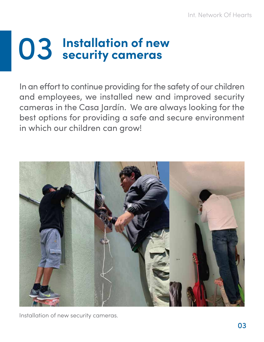### 03 **Installation of new security cameras**

In an effort to continue providing for the safety of our children and employees, we installed new and improved security cameras in the Casa Jardín. We are always looking for the best options for providing a safe and secure environment in which our children can grow!



Installation of new security cameras.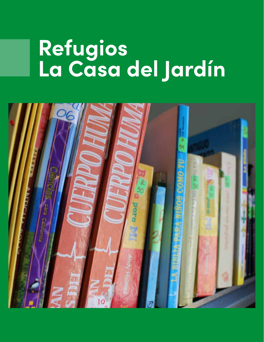# **Refugios La Casa del Jardín**

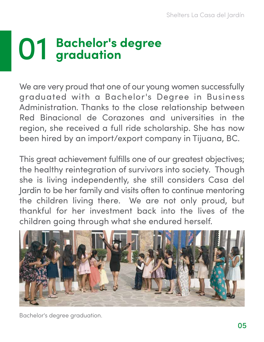### 01 **Bachelor's degree graduation**

We are very proud that one of our young women successfully graduated with a Bachelor's Degree in Business Administration. Thanks to the close relationship between Red Binacional de Corazones and universities in the region, she received a full ride scholarship. She has now been hired by an import/export company in Tijuana, BC.

This great achievement fulfills one of our greatest objectives; the healthy reintegration of survivors into society. Though she is living independently, she still considers Casa del Jardin to be her family and visits often to continue mentoring the children living there. We are not only proud, but thankful for her investment back into the lives of the children going through what she endured herself.



Bachelor's degree graduation.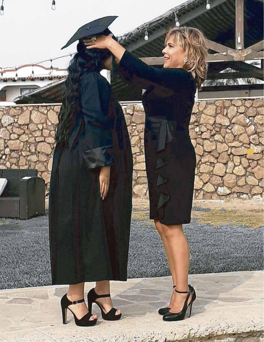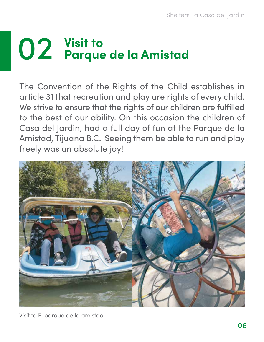### 02 **Visit to Parque de la Amistad**

The Convention of the Rights of the Child establishes in article 31 that recreation and play are rights of every child. We strive to ensure that the rights of our children are fulfilled to the best of our ability. On this occasion the children of Casa del Jardin, had a full day of fun at the Parque de la Amistad, Tijuana B.C. Seeing them be able to run and play freely was an absolute joy!



Visit to El parque de la amistad.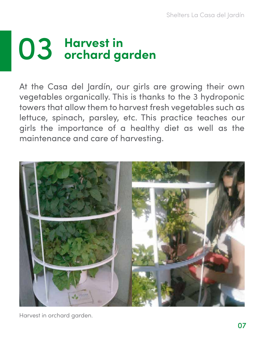### 03 **Harvest in orchard garden**

At the Casa del Jardín, our girls are growing their own vegetables organically. This is thanks to the 3 hydroponic towers that allow them to harvest fresh vegetables such as lettuce, spinach, parsley, etc. This practice teaches our girls the importance of a healthy diet as well as the maintenance and care of harvesting.



Harvest in orchard garden.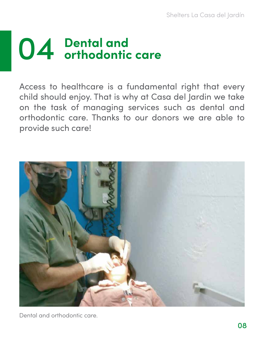### 04 **Dental and orthodontic care**

Access to healthcare is a fundamental right that every child should enjoy. That is why at Casa del Jardin we take on the task of managing services such as dental and orthodontic care. Thanks to our donors we are able to provide such care!



Dental and orthodontic care.